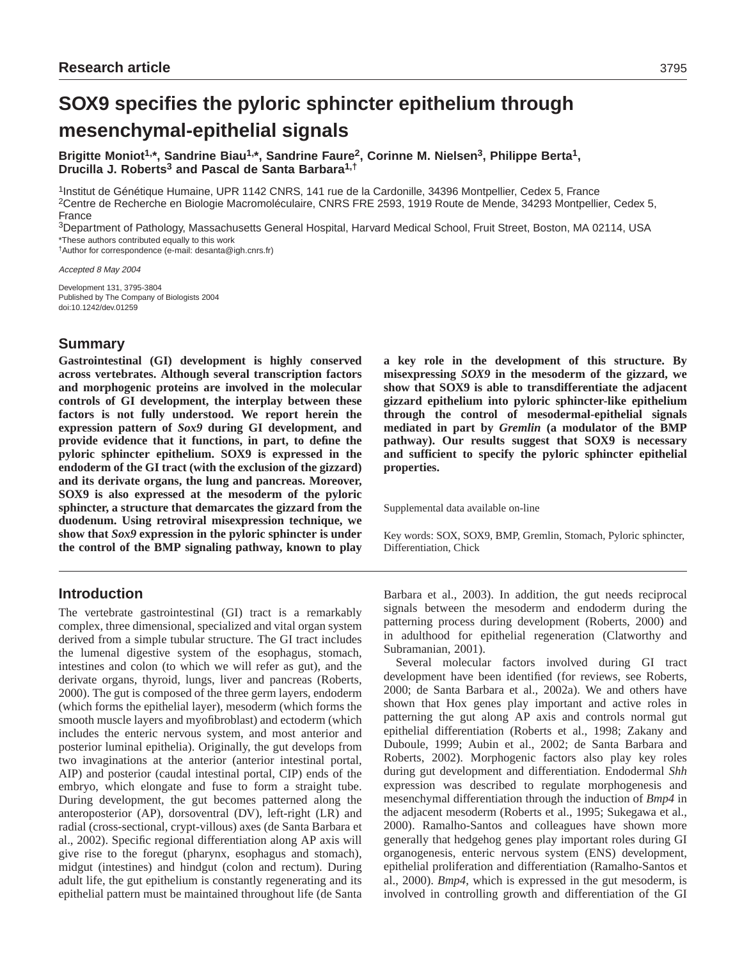# **SOX9 specifies the pyloric sphincter epithelium through mesenchymal-epithelial signals**

**Brigitte Moniot1,\*, Sandrine Biau1,\*, Sandrine Faure2, Corinne M. Nielsen3, Philippe Berta1, Drucilla J. Roberts3 and Pascal de Santa Barbara1,†**

1Institut de Génétique Humaine, UPR 1142 CNRS, 141 rue de la Cardonille, 34396 Montpellier, Cedex 5, France 2Centre de Recherche en Biologie Macromoléculaire, CNRS FRE 2593, 1919 Route de Mende, 34293 Montpellier, Cedex 5, France

3Department of Pathology, Massachusetts General Hospital, Harvard Medical School, Fruit Street, Boston, MA 02114, USA \*These authors contributed equally to this work

†Author for correspondence (e-mail: desanta@igh.cnrs.fr)

Accepted 8 May 2004

Development 131, 3795-3804 Published by The Company of Biologists 2004 doi:10.1242/dev.01259

# **Summary**

**Gastrointestinal (GI) development is highly conserved across vertebrates. Although several transcription factors and morphogenic proteins are involved in the molecular controls of GI development, the interplay between these factors is not fully understood. We report herein the expression pattern of** *Sox9* **during GI development, and provide evidence that it functions, in part, to define the pyloric sphincter epithelium. SOX9 is expressed in the endoderm of the GI tract (with the exclusion of the gizzard) and its derivate organs, the lung and pancreas. Moreover, SOX9 is also expressed at the mesoderm of the pyloric sphincter, a structure that demarcates the gizzard from the duodenum. Using retroviral misexpression technique, we show that** *Sox9* **expression in the pyloric sphincter is under the control of the BMP signaling pathway, known to play** **a key role in the development of this structure. By misexpressing** *SOX9* **in the mesoderm of the gizzard, we show that SOX9 is able to transdifferentiate the adjacent gizzard epithelium into pyloric sphincter-like epithelium through the control of mesodermal-epithelial signals mediated in part by** *Gremlin* **(a modulator of the BMP pathway). Our results suggest that SOX9 is necessary and sufficient to specify the pyloric sphincter epithelial properties.**

Supplemental data available on-line

Key words: SOX, SOX9, BMP, Gremlin, Stomach, Pyloric sphincter, Differentiation, Chick

# **Introduction**

The vertebrate gastrointestinal (GI) tract is a remarkably complex, three dimensional, specialized and vital organ system derived from a simple tubular structure. The GI tract includes the lumenal digestive system of the esophagus, stomach, intestines and colon (to which we will refer as gut), and the derivate organs, thyroid, lungs, liver and pancreas (Roberts, 2000). The gut is composed of the three germ layers, endoderm (which forms the epithelial layer), mesoderm (which forms the smooth muscle layers and myofibroblast) and ectoderm (which includes the enteric nervous system, and most anterior and posterior luminal epithelia). Originally, the gut develops from two invaginations at the anterior (anterior intestinal portal, AIP) and posterior (caudal intestinal portal, CIP) ends of the embryo, which elongate and fuse to form a straight tube. During development, the gut becomes patterned along the anteroposterior (AP), dorsoventral (DV), left-right (LR) and radial (cross-sectional, crypt-villous) axes (de Santa Barbara et al., 2002). Specific regional differentiation along AP axis will give rise to the foregut (pharynx, esophagus and stomach), midgut (intestines) and hindgut (colon and rectum). During adult life, the gut epithelium is constantly regenerating and its epithelial pattern must be maintained throughout life (de Santa Barbara et al., 2003). In addition, the gut needs reciprocal signals between the mesoderm and endoderm during the patterning process during development (Roberts, 2000) and in adulthood for epithelial regeneration (Clatworthy and Subramanian, 2001).

Several molecular factors involved during GI tract development have been identified (for reviews, see Roberts, 2000; de Santa Barbara et al., 2002a). We and others have shown that Hox genes play important and active roles in patterning the gut along AP axis and controls normal gut epithelial differentiation (Roberts et al., 1998; Zakany and Duboule, 1999; Aubin et al., 2002; de Santa Barbara and Roberts, 2002). Morphogenic factors also play key roles during gut development and differentiation. Endodermal *Shh* expression was described to regulate morphogenesis and mesenchymal differentiation through the induction of *Bmp4* in the adjacent mesoderm (Roberts et al., 1995; Sukegawa et al., 2000). Ramalho-Santos and colleagues have shown more generally that hedgehog genes play important roles during GI organogenesis, enteric nervous system (ENS) development, epithelial proliferation and differentiation (Ramalho-Santos et al., 2000). *Bmp4*, which is expressed in the gut mesoderm, is involved in controlling growth and differentiation of the GI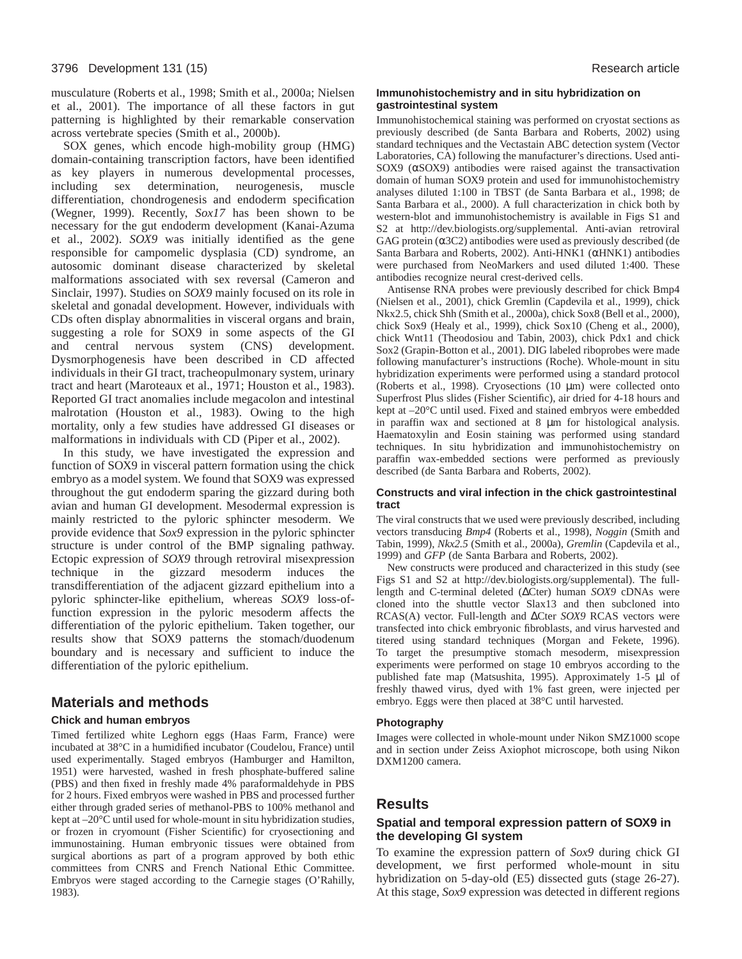musculature (Roberts et al., 1998; Smith et al., 2000a; Nielsen et al., 2001). The importance of all these factors in gut patterning is highlighted by their remarkable conservation across vertebrate species (Smith et al., 2000b).

SOX genes*,* which encode high-mobility group (HMG) domain-containing transcription factors, have been identified as key players in numerous developmental processes, including sex determination, neurogenesis, muscle differentiation, chondrogenesis and endoderm specification (Wegner, 1999). Recently, *Sox17* has been shown to be necessary for the gut endoderm development (Kanai-Azuma et al., 2002). *SOX9* was initially identified as the gene responsible for campomelic dysplasia (CD) syndrome, an autosomic dominant disease characterized by skeletal malformations associated with sex reversal (Cameron and Sinclair, 1997). Studies on *SOX9* mainly focused on its role in skeletal and gonadal development. However, individuals with CDs often display abnormalities in visceral organs and brain, suggesting a role for SOX9 in some aspects of the GI and central nervous system (CNS) development. Dysmorphogenesis have been described in CD affected individuals in their GI tract, tracheopulmonary system, urinary tract and heart (Maroteaux et al., 1971; Houston et al., 1983). Reported GI tract anomalies include megacolon and intestinal malrotation (Houston et al., 1983). Owing to the high mortality, only a few studies have addressed GI diseases or malformations in individuals with CD (Piper et al., 2002).

In this study, we have investigated the expression and function of SOX9 in visceral pattern formation using the chick embryo as a model system. We found that SOX9 was expressed throughout the gut endoderm sparing the gizzard during both avian and human GI development. Mesodermal expression is mainly restricted to the pyloric sphincter mesoderm. We provide evidence that *Sox9* expression in the pyloric sphincter structure is under control of the BMP signaling pathway. Ectopic expression of *SOX9* through retroviral misexpression technique in the gizzard mesoderm induces the transdifferentiation of the adjacent gizzard epithelium into a pyloric sphincter-like epithelium, whereas *SOX9* loss-offunction expression in the pyloric mesoderm affects the differentiation of the pyloric epithelium. Taken together, our results show that SOX9 patterns the stomach/duodenum boundary and is necessary and sufficient to induce the differentiation of the pyloric epithelium.

# **Materials and methods**

#### **Chick and human embryos**

Timed fertilized white Leghorn eggs (Haas Farm, France) were incubated at 38°C in a humidified incubator (Coudelou, France) until used experimentally. Staged embryos (Hamburger and Hamilton, 1951) were harvested, washed in fresh phosphate-buffered saline (PBS) and then fixed in freshly made 4% paraformaldehyde in PBS for 2 hours. Fixed embryos were washed in PBS and processed further either through graded series of methanol-PBS to 100% methanol and kept at –20°C until used for whole-mount in situ hybridization studies, or frozen in cryomount (Fisher Scientific) for cryosectioning and immunostaining. Human embryonic tissues were obtained from surgical abortions as part of a program approved by both ethic committees from CNRS and French National Ethic Committee. Embryos were staged according to the Carnegie stages (O'Rahilly, 1983).

#### **Immunohistochemistry and in situ hybridization on gastrointestinal system**

Immunohistochemical staining was performed on cryostat sections as previously described (de Santa Barbara and Roberts, 2002) using standard techniques and the Vectastain ABC detection system (Vector Laboratories, CA) following the manufacturer's directions. Used anti-SOX9  $(\alpha$ SOX9) antibodies were raised against the transactivation domain of human SOX9 protein and used for immunohistochemistry analyses diluted 1:100 in TBST (de Santa Barbara et al., 1998; de Santa Barbara et al., 2000). A full characterization in chick both by western-blot and immunohistochemistry is available in Figs S1 and S2 at http://dev.biologists.org/supplemental. Anti-avian retroviral GAG protein  $(\alpha 3C2)$  antibodies were used as previously described (de Santa Barbara and Roberts, 2002). Anti-HNK1 (αHNK1) antibodies were purchased from NeoMarkers and used diluted 1:400. These antibodies recognize neural crest-derived cells.

Antisense RNA probes were previously described for chick Bmp4 (Nielsen et al., 2001), chick Gremlin (Capdevila et al., 1999), chick Nkx2.5, chick Shh (Smith et al., 2000a), chick Sox8 (Bell et al., 2000), chick Sox9 (Healy et al., 1999), chick Sox10 (Cheng et al., 2000), chick Wnt11 (Theodosiou and Tabin, 2003), chick Pdx1 and chick Sox2 (Grapin-Botton et al., 2001). DIG labeled riboprobes were made following manufacturer's instructions (Roche). Whole-mount in situ hybridization experiments were performed using a standard protocol (Roberts et al., 1998). Cryosections (10 µm) were collected onto Superfrost Plus slides (Fisher Scientific), air dried for 4-18 hours and kept at –20°C until used. Fixed and stained embryos were embedded in paraffin wax and sectioned at 8 µm for histological analysis. Haematoxylin and Eosin staining was performed using standard techniques. In situ hybridization and immunohistochemistry on paraffin wax-embedded sections were performed as previously described (de Santa Barbara and Roberts, 2002).

#### **Constructs and viral infection in the chick gastrointestinal tract**

The viral constructs that we used were previously described, including vectors transducing *Bmp4* (Roberts et al., 1998), *Noggin* (Smith and Tabin, 1999), *Nkx2.5* (Smith et al., 2000a), *Gremlin* (Capdevila et al., 1999) and *GFP* (de Santa Barbara and Roberts, 2002).

New constructs were produced and characterized in this study (see Figs S1 and S2 at http://dev.biologists.org/supplemental). The fulllength and C-terminal deleted (∆Cter) human *SOX9* cDNAs were cloned into the shuttle vector Slax13 and then subcloned into RCAS(A) vector. Full-length and ∆Cter *SOX9* RCAS vectors were transfected into chick embryonic fibroblasts, and virus harvested and titered using standard techniques (Morgan and Fekete, 1996). To target the presumptive stomach mesoderm, misexpression experiments were performed on stage 10 embryos according to the published fate map (Matsushita, 1995). Approximately 1-5 µl of freshly thawed virus, dyed with 1% fast green, were injected per embryo. Eggs were then placed at 38°C until harvested.

#### **Photography**

Images were collected in whole-mount under Nikon SMZ1000 scope and in section under Zeiss Axiophot microscope, both using Nikon DXM1200 camera.

# **Results**

#### **Spatial and temporal expression pattern of SOX9 in the developing GI system**

To examine the expression pattern of *Sox9* during chick GI development, we first performed whole-mount in situ hybridization on 5-day-old (E5) dissected guts (stage 26-27). At this stage, *Sox9* expression was detected in different regions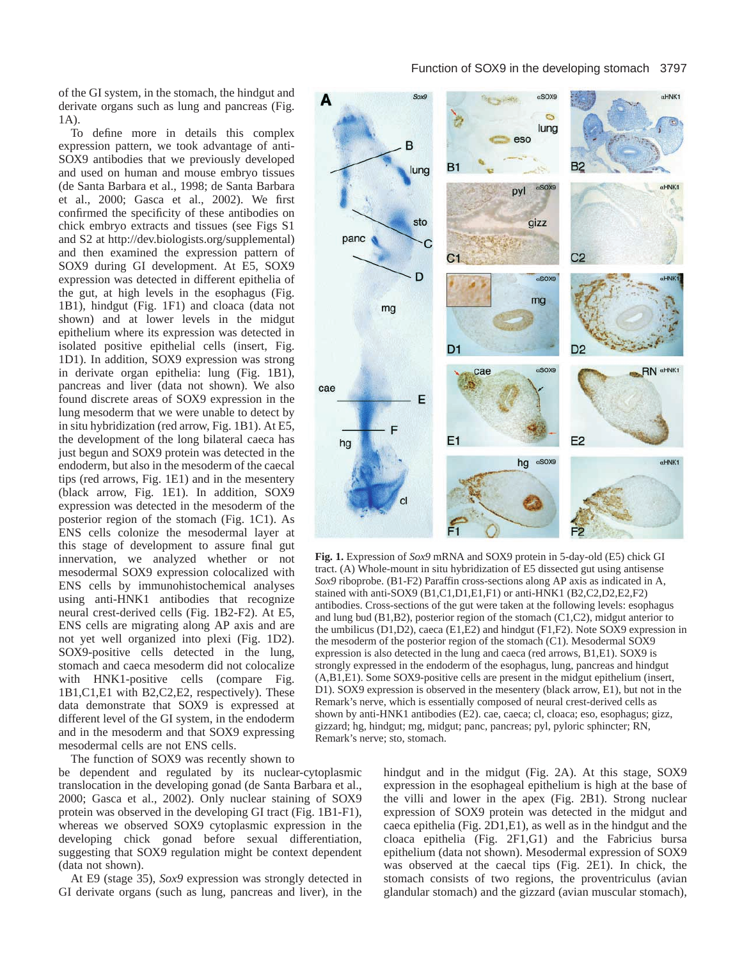of the GI system, in the stomach, the hindgut and derivate organs such as lung and pancreas (Fig. 1A).

To define more in details this complex expression pattern, we took advantage of anti-SOX9 antibodies that we previously developed and used on human and mouse embryo tissues (de Santa Barbara et al., 1998; de Santa Barbara et al., 2000; Gasca et al., 2002). We first confirmed the specificity of these antibodies on chick embryo extracts and tissues (see Figs S1 and S2 at http://dev.biologists.org/supplemental) and then examined the expression pattern of SOX9 during GI development. At E5, SOX9 expression was detected in different epithelia of the gut, at high levels in the esophagus (Fig. 1B1), hindgut (Fig. 1F1) and cloaca (data not shown) and at lower levels in the midgut epithelium where its expression was detected in isolated positive epithelial cells (insert, Fig. 1D1). In addition, SOX9 expression was strong in derivate organ epithelia: lung (Fig. 1B1), pancreas and liver (data not shown). We also found discrete areas of SOX9 expression in the lung mesoderm that we were unable to detect by in situ hybridization (red arrow, Fig. 1B1). At E5, the development of the long bilateral caeca has just begun and SOX9 protein was detected in the endoderm, but also in the mesoderm of the caecal tips (red arrows, Fig. 1E1) and in the mesentery (black arrow, Fig. 1E1). In addition, SOX9 expression was detected in the mesoderm of the posterior region of the stomach (Fig. 1C1). As ENS cells colonize the mesodermal layer at this stage of development to assure final gut innervation, we analyzed whether or not mesodermal SOX9 expression colocalized with ENS cells by immunohistochemical analyses using anti-HNK1 antibodies that recognize neural crest-derived cells (Fig. 1B2-F2). At E5, ENS cells are migrating along AP axis and are not yet well organized into plexi (Fig. 1D2). SOX9-positive cells detected in the lung, stomach and caeca mesoderm did not colocalize with HNK1-positive cells (compare Fig. 1B1,C1,E1 with B2,C2,E2, respectively). These data demonstrate that SOX9 is expressed at different level of the GI system, in the endoderm and in the mesoderm and that SOX9 expressing mesodermal cells are not ENS cells.

The function of SOX9 was recently shown to

be dependent and regulated by its nuclear-cytoplasmic translocation in the developing gonad (de Santa Barbara et al., 2000; Gasca et al., 2002). Only nuclear staining of SOX9 protein was observed in the developing GI tract (Fig. 1B1-F1), whereas we observed SOX9 cytoplasmic expression in the developing chick gonad before sexual differentiation, suggesting that SOX9 regulation might be context dependent (data not shown).

At E9 (stage 35), *Sox9* expression was strongly detected in GI derivate organs (such as lung, pancreas and liver), in the



**Fig. 1.** Expression of *Sox9* mRNA and SOX9 protein in 5-day-old (E5) chick GI tract. (A) Whole-mount in situ hybridization of E5 dissected gut using antisense *Sox9* riboprobe. (B1-F2) Paraffin cross-sections along AP axis as indicated in A, stained with anti-SOX9 (B1,C1,D1,E1,F1) or anti-HNK1 (B2,C2,D2,E2,F2) antibodies. Cross-sections of the gut were taken at the following levels: esophagus and lung bud (B1,B2), posterior region of the stomach (C1,C2), midgut anterior to the umbilicus  $(D1,D2)$ , caeca  $(E1,E2)$  and hindgut  $(F1,F2)$ . Note SOX9 expression in the mesoderm of the posterior region of the stomach (C1). Mesodermal SOX9 expression is also detected in the lung and caeca (red arrows, B1,E1). SOX9 is strongly expressed in the endoderm of the esophagus, lung, pancreas and hindgut (A,B1,E1). Some SOX9-positive cells are present in the midgut epithelium (insert, D1). SOX9 expression is observed in the mesentery (black arrow, E1), but not in the Remark's nerve, which is essentially composed of neural crest-derived cells as shown by anti-HNK1 antibodies (E2). cae, caeca; cl, cloaca; eso, esophagus; gizz, gizzard; hg, hindgut; mg, midgut; panc, pancreas; pyl, pyloric sphincter; RN, Remark's nerve; sto, stomach.

hindgut and in the midgut (Fig. 2A). At this stage, SOX9 expression in the esophageal epithelium is high at the base of the villi and lower in the apex (Fig. 2B1). Strong nuclear expression of SOX9 protein was detected in the midgut and caeca epithelia (Fig. 2D1,E1), as well as in the hindgut and the cloaca epithelia (Fig. 2F1,G1) and the Fabricius bursa epithelium (data not shown). Mesodermal expression of SOX9 was observed at the caecal tips (Fig. 2E1). In chick, the stomach consists of two regions, the proventriculus (avian glandular stomach) and the gizzard (avian muscular stomach),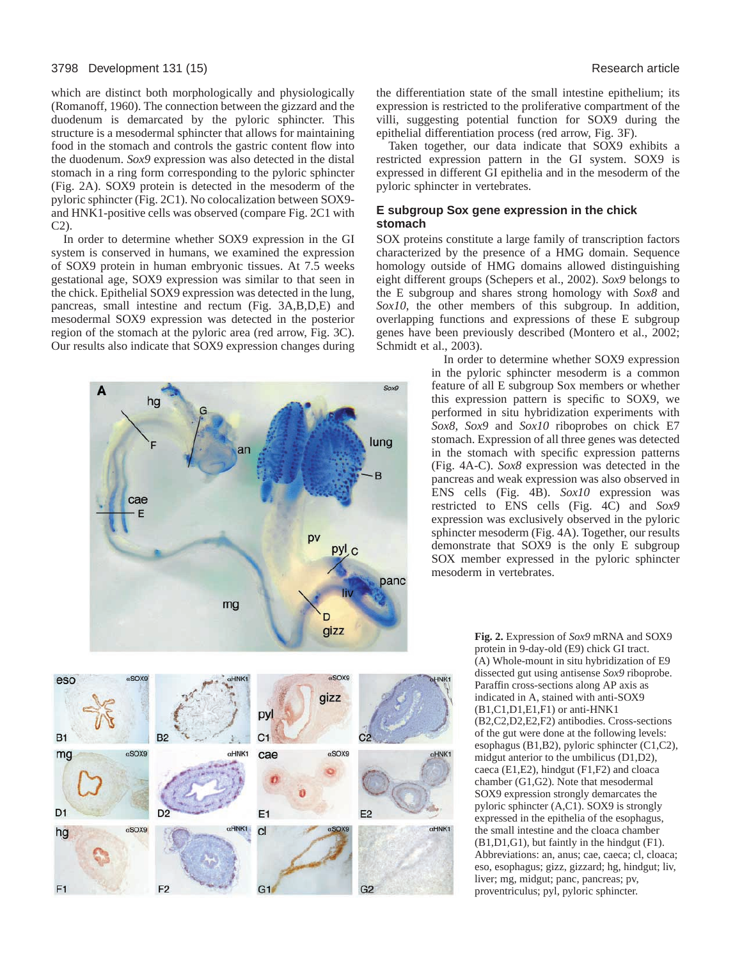#### 3798 Development 131 (15) Research article

which are distinct both morphologically and physiologically (Romanoff, 1960). The connection between the gizzard and the duodenum is demarcated by the pyloric sphincter. This structure is a mesodermal sphincter that allows for maintaining food in the stomach and controls the gastric content flow into the duodenum. *Sox9* expression was also detected in the distal stomach in a ring form corresponding to the pyloric sphincter (Fig. 2A). SOX9 protein is detected in the mesoderm of the pyloric sphincter (Fig. 2C1). No colocalization between SOX9 and HNK1-positive cells was observed (compare Fig. 2C1 with C2).

In order to determine whether SOX9 expression in the GI system is conserved in humans, we examined the expression of SOX9 protein in human embryonic tissues. At 7.5 weeks gestational age, SOX9 expression was similar to that seen in the chick. Epithelial SOX9 expression was detected in the lung, pancreas, small intestine and rectum (Fig. 3A,B,D,E) and mesodermal SOX9 expression was detected in the posterior region of the stomach at the pyloric area (red arrow, Fig. 3C). Our results also indicate that SOX9 expression changes during





the differentiation state of the small intestine epithelium; its expression is restricted to the proliferative compartment of the villi, suggesting potential function for SOX9 during the epithelial differentiation process (red arrow, Fig. 3F).

Taken together, our data indicate that SOX9 exhibits a restricted expression pattern in the GI system. SOX9 is expressed in different GI epithelia and in the mesoderm of the pyloric sphincter in vertebrates.

#### **E subgroup Sox gene expression in the chick stomach**

SOX proteins constitute a large family of transcription factors characterized by the presence of a HMG domain. Sequence homology outside of HMG domains allowed distinguishing eight different groups (Schepers et al., 2002). *Sox9* belongs to the E subgroup and shares strong homology with *Sox8* and *Sox10*, the other members of this subgroup. In addition, overlapping functions and expressions of these E subgroup genes have been previously described (Montero et al., 2002; Schmidt et al., 2003).

> In order to determine whether SOX9 expression in the pyloric sphincter mesoderm is a common feature of all E subgroup Sox members or whether this expression pattern is specific to SOX9, we performed in situ hybridization experiments with *Sox8*, *Sox9* and *Sox10* riboprobes on chick E7 stomach. Expression of all three genes was detected in the stomach with specific expression patterns (Fig. 4A-C). *Sox8* expression was detected in the pancreas and weak expression was also observed in ENS cells (Fig. 4B). *Sox10* expression was restricted to ENS cells (Fig. 4C) and *Sox9* expression was exclusively observed in the pyloric sphincter mesoderm (Fig. 4A). Together, our results demonstrate that SOX9 is the only E subgroup SOX member expressed in the pyloric sphincter mesoderm in vertebrates.

> > **Fig. 2.** Expression of *Sox9* mRNA and SOX9 protein in 9-day-old (E9) chick GI tract. (A) Whole-mount in situ hybridization of E9 dissected gut using antisense *Sox9* riboprobe. Paraffin cross-sections along AP axis as indicated in A, stained with anti-SOX9 (B1,C1,D1,E1,F1) or anti-HNK1 (B2,C2,D2,E2,F2) antibodies. Cross-sections of the gut were done at the following levels: esophagus (B1,B2), pyloric sphincter (C1,C2), midgut anterior to the umbilicus (D1,D2), caeca (E1,E2), hindgut (F1,F2) and cloaca chamber (G1,G2). Note that mesodermal SOX9 expression strongly demarcates the pyloric sphincter (A,C1). SOX9 is strongly expressed in the epithelia of the esophagus, the small intestine and the cloaca chamber (B1,D1,G1), but faintly in the hindgut (F1). Abbreviations: an, anus; cae, caeca; cl, cloaca; eso, esophagus; gizz, gizzard; hg, hindgut; liv, liver; mg, midgut; panc, pancreas; pv, proventriculus; pyl, pyloric sphincter.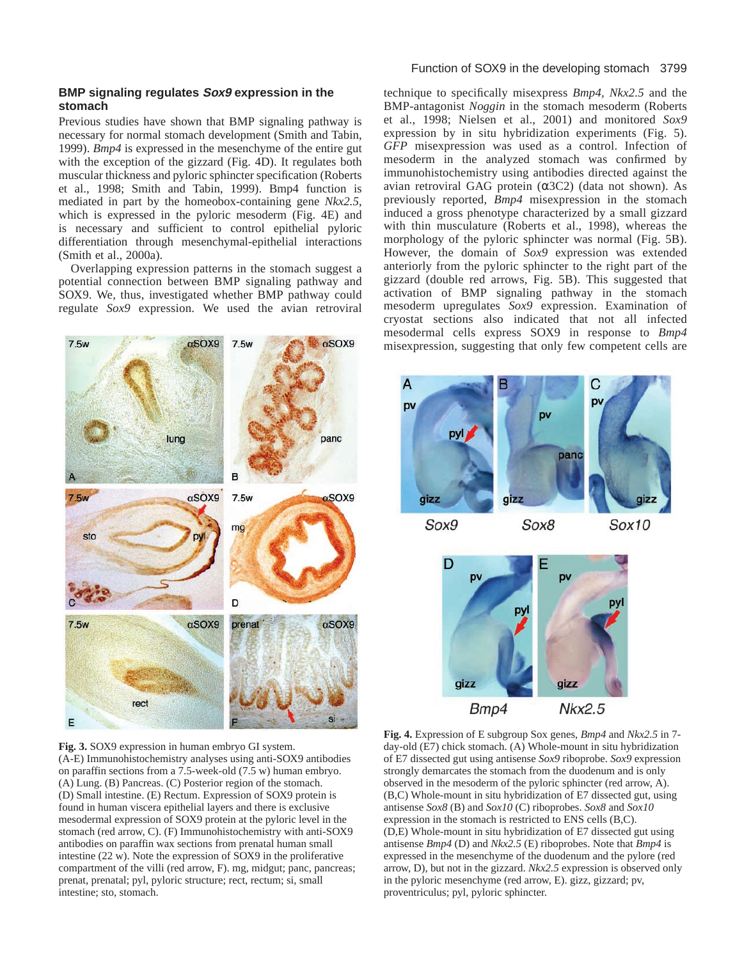#### **BMP signaling regulates Sox9 expression in the stomach**

Previous studies have shown that BMP signaling pathway is necessary for normal stomach development (Smith and Tabin, 1999). *Bmp4* is expressed in the mesenchyme of the entire gut with the exception of the gizzard (Fig. 4D). It regulates both muscular thickness and pyloric sphincter specification (Roberts et al., 1998; Smith and Tabin, 1999). Bmp4 function is mediated in part by the homeobox-containing gene *Nkx2.5*, which is expressed in the pyloric mesoderm (Fig. 4E) and is necessary and sufficient to control epithelial pyloric differentiation through mesenchymal-epithelial interactions (Smith et al., 2000a).

Overlapping expression patterns in the stomach suggest a potential connection between BMP signaling pathway and SOX9. We, thus, investigated whether BMP pathway could regulate *Sox9* expression. We used the avian retroviral



**Fig. 3.** SOX9 expression in human embryo GI system. (A-E) Immunohistochemistry analyses using anti-SOX9 antibodies on paraffin sections from a 7.5-week-old (7.5 w) human embryo. (A) Lung. (B) Pancreas. (C) Posterior region of the stomach. (D) Small intestine. (E) Rectum. Expression of SOX9 protein is found in human viscera epithelial layers and there is exclusive mesodermal expression of SOX9 protein at the pyloric level in the stomach (red arrow, C). (F) Immunohistochemistry with anti-SOX9 antibodies on paraffin wax sections from prenatal human small intestine (22 w). Note the expression of SOX9 in the proliferative compartment of the villi (red arrow, F). mg, midgut; panc, pancreas; prenat, prenatal; pyl, pyloric structure; rect, rectum; si, small intestine; sto, stomach.

#### Function of SOX9 in the developing stomach 3799

technique to specifically misexpress *Bmp4, Nkx2.5* and the BMP-antagonist *Noggin* in the stomach mesoderm (Roberts et al., 1998; Nielsen et al., 2001) and monitored *Sox9* expression by in situ hybridization experiments (Fig. 5). *GFP* misexpression was used as a control. Infection of mesoderm in the analyzed stomach was confirmed by immunohistochemistry using antibodies directed against the avian retroviral GAG protein (α3C2) (data not shown). As previously reported, *Bmp4* misexpression in the stomach induced a gross phenotype characterized by a small gizzard with thin musculature (Roberts et al., 1998), whereas the morphology of the pyloric sphincter was normal (Fig. 5B). However, the domain of *Sox9* expression was extended anteriorly from the pyloric sphincter to the right part of the gizzard (double red arrows, Fig. 5B). This suggested that activation of BMP signaling pathway in the stomach mesoderm upregulates *Sox9* expression. Examination of cryostat sections also indicated that not all infected mesodermal cells express SOX9 in response to *Bmp4* misexpression, suggesting that only few competent cells are



**Fig. 4.** Expression of E subgroup Sox genes, *Bmp4* and *Nkx2.5* in 7 day-old (E7) chick stomach. (A) Whole-mount in situ hybridization of E7 dissected gut using antisense *Sox9* riboprobe. *Sox9* expression strongly demarcates the stomach from the duodenum and is only observed in the mesoderm of the pyloric sphincter (red arrow, A). (B,C) Whole-mount in situ hybridization of E7 dissected gut, using antisense *Sox8* (B) and *Sox10* (C) riboprobes. *Sox8* and *Sox10* expression in the stomach is restricted to ENS cells (B,C). (D,E) Whole-mount in situ hybridization of E7 dissected gut using antisense *Bmp4* (D) and *Nkx2.5* (E) riboprobes. Note that *Bmp4* is expressed in the mesenchyme of the duodenum and the pylore (red arrow, D), but not in the gizzard. *Nkx2.5* expression is observed only in the pyloric mesenchyme (red arrow, E). gizz, gizzard; pv, proventriculus; pyl, pyloric sphincter.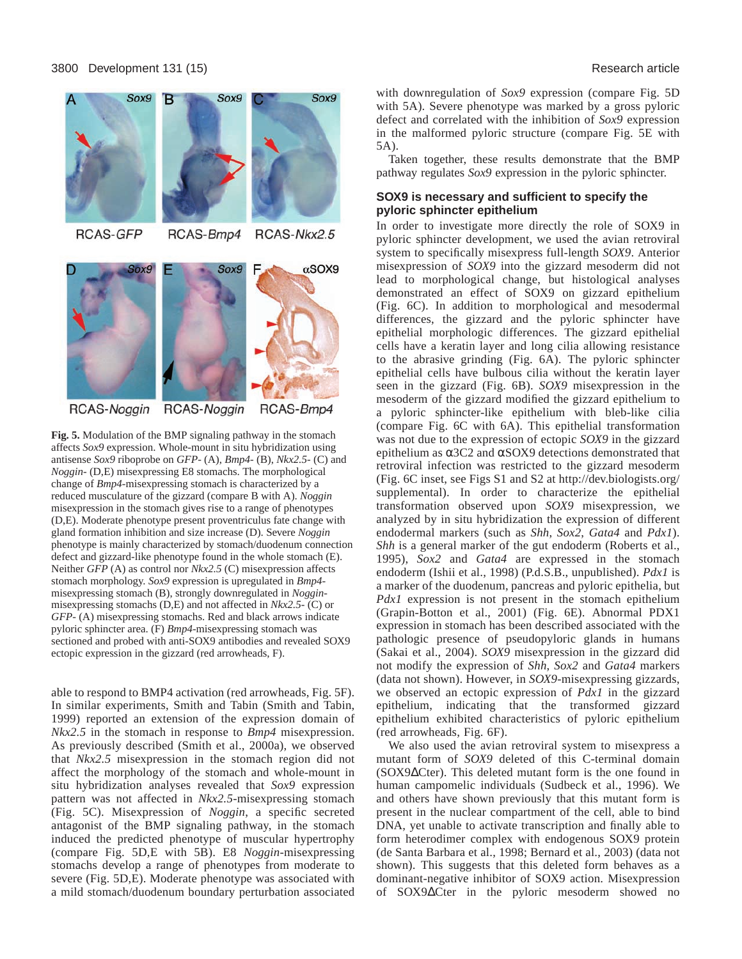

#### RCAS-Noggin RCAS-Noggin

RCAS-Bmp4

**Fig. 5.** Modulation of the BMP signaling pathway in the stomach affects *Sox9* expression. Whole-mount in situ hybridization using antisense *Sox9* riboprobe on *GFP-* (A), *Bmp4-* (B), *Nkx2.5-* (C) and *Noggin-* (D,E) misexpressing E8 stomachs. The morphological change of *Bmp4*-misexpressing stomach is characterized by a reduced musculature of the gizzard (compare B with A). *Noggin* misexpression in the stomach gives rise to a range of phenotypes (D,E). Moderate phenotype present proventriculus fate change with gland formation inhibition and size increase (D). Severe *Noggin* phenotype is mainly characterized by stomach/duodenum connection defect and gizzard-like phenotype found in the whole stomach (E). Neither *GFP* (A) as control nor *Nkx2.5* (C) misexpression affects stomach morphology. *Sox9* expression is upregulated in *Bmp4* misexpressing stomach (B), strongly downregulated in *Noggin*misexpressing stomachs (D,E) and not affected in *Nkx2.5-* (C) or *GFP-* (A) misexpressing stomachs. Red and black arrows indicate pyloric sphincter area. (F) *Bmp4*-misexpressing stomach was sectioned and probed with anti-SOX9 antibodies and revealed SOX9 ectopic expression in the gizzard (red arrowheads, F).

able to respond to BMP4 activation (red arrowheads, Fig. 5F). In similar experiments, Smith and Tabin (Smith and Tabin, 1999) reported an extension of the expression domain of *Nkx2.5* in the stomach in response to *Bmp4* misexpression. As previously described (Smith et al., 2000a), we observed that *Nkx2.5* misexpression in the stomach region did not affect the morphology of the stomach and whole-mount in situ hybridization analyses revealed that *Sox9* expression pattern was not affected in *Nkx2.5*-misexpressing stomach (Fig. 5C). Misexpression of *Noggin*, a specific secreted antagonist of the BMP signaling pathway, in the stomach induced the predicted phenotype of muscular hypertrophy (compare Fig. 5D,E with 5B). E8 *Noggin*-misexpressing stomachs develop a range of phenotypes from moderate to severe (Fig. 5D,E). Moderate phenotype was associated with a mild stomach/duodenum boundary perturbation associated

with downregulation of *Sox9* expression (compare Fig. 5D with 5A). Severe phenotype was marked by a gross pyloric defect and correlated with the inhibition of *Sox9* expression in the malformed pyloric structure (compare Fig. 5E with 5A).

Taken together, these results demonstrate that the BMP pathway regulates *Sox9* expression in the pyloric sphincter.

#### **SOX9 is necessary and sufficient to specify the pyloric sphincter epithelium**

In order to investigate more directly the role of SOX9 in pyloric sphincter development, we used the avian retroviral system to specifically misexpress full-length *SOX9*. Anterior misexpression of *SOX9* into the gizzard mesoderm did not lead to morphological change, but histological analyses demonstrated an effect of SOX9 on gizzard epithelium (Fig. 6C). In addition to morphological and mesodermal differences, the gizzard and the pyloric sphincter have epithelial morphologic differences. The gizzard epithelial cells have a keratin layer and long cilia allowing resistance to the abrasive grinding (Fig. 6A). The pyloric sphincter epithelial cells have bulbous cilia without the keratin layer seen in the gizzard (Fig. 6B). *SOX9* misexpression in the mesoderm of the gizzard modified the gizzard epithelium to a pyloric sphincter-like epithelium with bleb-like cilia (compare Fig. 6C with 6A). This epithelial transformation was not due to the expression of ectopic *SOX9* in the gizzard epithelium as  $\alpha$ 3C2 and  $\alpha$ SOX9 detections demonstrated that retroviral infection was restricted to the gizzard mesoderm (Fig. 6C inset, see Figs S1 and S2 at http://dev.biologists.org/ supplemental). In order to characterize the epithelial transformation observed upon *SOX9* misexpression, we analyzed by in situ hybridization the expression of different endodermal markers (such as *Shh*, *Sox2*, *Gata4* and *Pdx1*). *Shh* is a general marker of the gut endoderm (Roberts et al., 1995), *Sox2* and *Gata4* are expressed in the stomach endoderm (Ishii et al., 1998) (P.d.S.B., unpublished). *Pdx1* is a marker of the duodenum, pancreas and pyloric epithelia, but *Pdx1* expression is not present in the stomach epithelium (Grapin-Botton et al., 2001) (Fig. 6E). Abnormal PDX1 expression in stomach has been described associated with the pathologic presence of pseudopyloric glands in humans (Sakai et al., 2004). *SOX9* misexpression in the gizzard did not modify the expression of *Shh*, *Sox2* and *Gata4* markers (data not shown). However, in *SOX9*-misexpressing gizzards, we observed an ectopic expression of *Pdx1* in the gizzard epithelium, indicating that the transformed gizzard epithelium exhibited characteristics of pyloric epithelium (red arrowheads, Fig. 6F).

We also used the avian retroviral system to misexpress a mutant form of *SOX9* deleted of this C-terminal domain (SOX9∆Cter). This deleted mutant form is the one found in human campomelic individuals (Sudbeck et al., 1996). We and others have shown previously that this mutant form is present in the nuclear compartment of the cell, able to bind DNA, yet unable to activate transcription and finally able to form heterodimer complex with endogenous SOX9 protein (de Santa Barbara et al., 1998; Bernard et al., 2003) (data not shown). This suggests that this deleted form behaves as a dominant-negative inhibitor of SOX9 action. Misexpression of SOX9∆Cter in the pyloric mesoderm showed no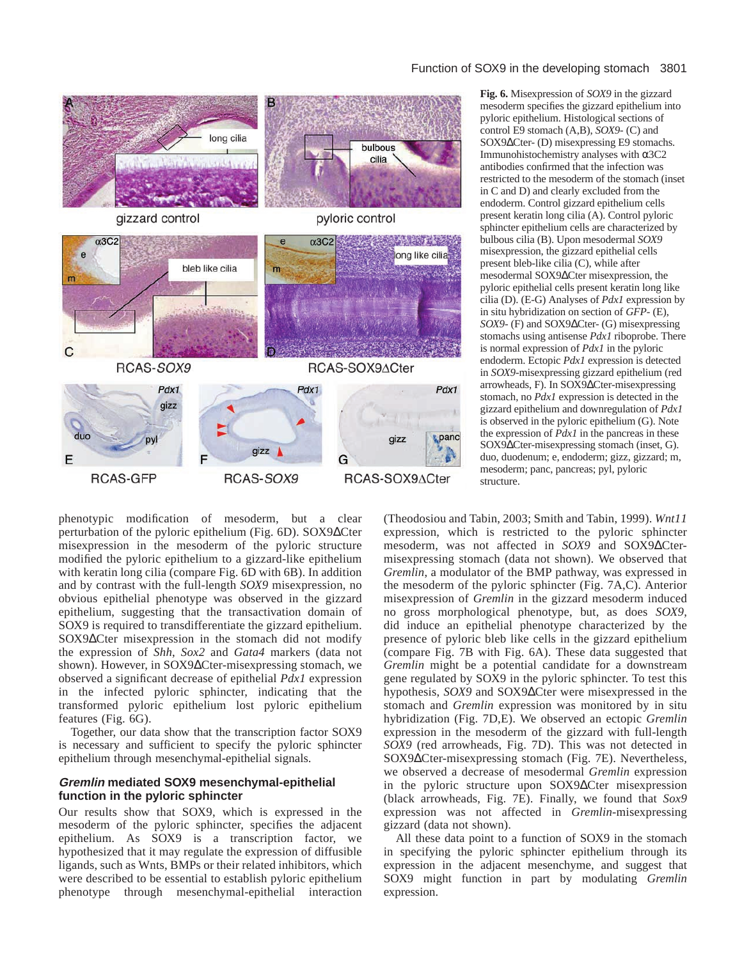

phenotypic modification of mesoderm, but a clear perturbation of the pyloric epithelium (Fig. 6D). SOX9∆Cter misexpression in the mesoderm of the pyloric structure modified the pyloric epithelium to a gizzard-like epithelium with keratin long cilia (compare Fig. 6D with 6B). In addition and by contrast with the full-length *SOX9* misexpression, no obvious epithelial phenotype was observed in the gizzard epithelium, suggesting that the transactivation domain of SOX9 is required to transdifferentiate the gizzard epithelium. SOX9∆Cter misexpression in the stomach did not modify the expression of *Shh*, *Sox2* and *Gata4* markers (data not shown). However, in SOX9∆Cter-misexpressing stomach, we observed a significant decrease of epithelial *Pdx1* expression in the infected pyloric sphincter, indicating that the transformed pyloric epithelium lost pyloric epithelium features (Fig. 6G).

Together, our data show that the transcription factor SOX9 is necessary and sufficient to specify the pyloric sphincter epithelium through mesenchymal-epithelial signals.

#### **Gremlin mediated SOX9 mesenchymal-epithelial function in the pyloric sphincter**

Our results show that SOX9, which is expressed in the mesoderm of the pyloric sphincter, specifies the adjacent epithelium. As SOX9 is a transcription factor, we hypothesized that it may regulate the expression of diffusible ligands, such as Wnts, BMPs or their related inhibitors, which were described to be essential to establish pyloric epithelium phenotype through mesenchymal-epithelial interaction

**Fig. 6.** Misexpression of *SOX9* in the gizzard mesoderm specifies the gizzard epithelium into pyloric epithelium. Histological sections of control E9 stomach (A,B), *SOX9*- (C) and SOX9∆Cter- (D) misexpressing E9 stomachs. Immunohistochemistry analyses with α3C2 antibodies confirmed that the infection was restricted to the mesoderm of the stomach (inset in C and D) and clearly excluded from the endoderm. Control gizzard epithelium cells present keratin long cilia (A). Control pyloric sphincter epithelium cells are characterized by bulbous cilia (B). Upon mesodermal *SOX9* misexpression, the gizzard epithelial cells present bleb-like cilia (C), while after mesodermal SOX9∆Cter misexpression, the pyloric epithelial cells present keratin long like cilia (D). (E-G) Analyses of *Pdx1* expression by in situ hybridization on section of *GFP-* (E), *SOX9-* (F) and SOX9∆Cter- (G) misexpressing stomachs using antisense *Pdx1* riboprobe. There is normal expression of *Pdx1* in the pyloric endoderm. Ectopic *Pdx1* expression is detected in *SOX9*-misexpressing gizzard epithelium (red arrowheads, F). In SOX9∆Cter-misexpressing stomach, no *Pdx1* expression is detected in the gizzard epithelium and downregulation of *Pdx1* is observed in the pyloric epithelium (G). Note the expression of *Pdx1* in the pancreas in these SOX9∆Cter-misexpressing stomach (inset, G). duo, duodenum; e, endoderm; gizz, gizzard; m, mesoderm; panc, pancreas; pyl, pyloric structure.

(Theodosiou and Tabin, 2003; Smith and Tabin, 1999). *Wnt11* expression, which is restricted to the pyloric sphincter mesoderm, was not affected in *SOX9* and SOX9∆Ctermisexpressing stomach (data not shown). We observed that *Gremlin*, a modulator of the BMP pathway, was expressed in the mesoderm of the pyloric sphincter (Fig. 7A,C). Anterior misexpression of *Gremlin* in the gizzard mesoderm induced no gross morphological phenotype, but, as does *SOX9*, did induce an epithelial phenotype characterized by the presence of pyloric bleb like cells in the gizzard epithelium (compare Fig. 7B with Fig. 6A). These data suggested that *Gremlin* might be a potential candidate for a downstream gene regulated by SOX9 in the pyloric sphincter. To test this hypothesis, *SOX9* and SOX9∆Cter were misexpressed in the stomach and *Gremlin* expression was monitored by in situ hybridization (Fig. 7D,E). We observed an ectopic *Gremlin* expression in the mesoderm of the gizzard with full-length *SOX9* (red arrowheads, Fig. 7D). This was not detected in SOX9∆Cter-misexpressing stomach (Fig. 7E). Nevertheless, we observed a decrease of mesodermal *Gremlin* expression in the pyloric structure upon SOX9∆Cter misexpression (black arrowheads, Fig. 7E). Finally, we found that *Sox9* expression was not affected in *Gremlin-*misexpressing gizzard (data not shown).

All these data point to a function of SOX9 in the stomach in specifying the pyloric sphincter epithelium through its expression in the adjacent mesenchyme, and suggest that SOX9 might function in part by modulating *Gremlin* expression.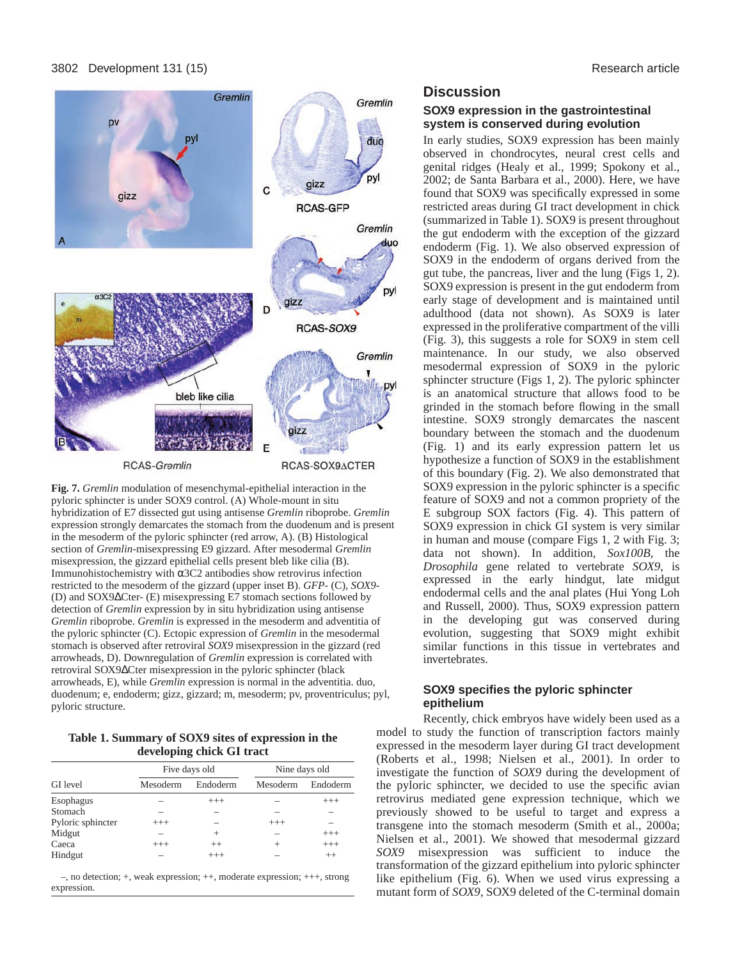#### 3802 Development 131 (15) Research article



**Fig. 7.** *Gremlin* modulation of mesenchymal-epithelial interaction in the pyloric sphincter is under SOX9 control. (A) Whole-mount in situ hybridization of E7 dissected gut using antisense *Gremlin* riboprobe. *Gremlin* expression strongly demarcates the stomach from the duodenum and is present in the mesoderm of the pyloric sphincter (red arrow, A). (B) Histological section of *Gremlin*-misexpressing E9 gizzard. After mesodermal *Gremlin* misexpression, the gizzard epithelial cells present bleb like cilia (B). Immunohistochemistry with α3C2 antibodies show retrovirus infection restricted to the mesoderm of the gizzard (upper inset B). *GFP-* (C), *SOX9-* (D) and SOX9∆Cter- (E) misexpressing E7 stomach sections followed by detection of *Gremlin* expression by in situ hybridization using antisense *Gremlin* riboprobe. *Gremlin* is expressed in the mesoderm and adventitia of the pyloric sphincter (C). Ectopic expression of *Gremlin* in the mesodermal stomach is observed after retroviral *SOX9* misexpression in the gizzard (red arrowheads, D). Downregulation of *Gremlin* expression is correlated with retroviral SOX9∆Cter misexpression in the pyloric sphincter (black arrowheads, E), while *Gremlin* expression is normal in the adventitia. duo, duodenum; e, endoderm; gizz, gizzard; m, mesoderm; pv, proventriculus; pyl, pyloric structure.

#### **Table 1. Summary of SOX9 sites of expression in the developing chick GI tract**

| GI level          | Five days old |          | Nine days old |          |
|-------------------|---------------|----------|---------------|----------|
|                   | Mesoderm      | Endoderm | Mesoderm      | Endoderm |
| Esophagus         |               | $+++$    |               | $^{+++}$ |
| Stomach           |               |          |               |          |
| Pyloric sphincter | $^{+++}$      |          | $^{+++}$      |          |
| Midgut            |               | $^{+}$   |               | $^{+++}$ |
| Caeca             | $^{+++}$      | $^{++}$  | $^+$          | $^{+++}$ |
| Hindgut           |               | $^{+++}$ |               | $^{++}$  |

–, no detection; +, weak expression; ++, moderate expression; +++, strong expression.

# **Discussion**

#### **SOX9 expression in the gastrointestinal system is conserved during evolution**

In early studies, SOX9 expression has been mainly observed in chondrocytes, neural crest cells and genital ridges (Healy et al., 1999; Spokony et al., 2002; de Santa Barbara et al., 2000). Here, we have found that SOX9 was specifically expressed in some restricted areas during GI tract development in chick (summarized in Table 1). SOX9 is present throughout the gut endoderm with the exception of the gizzard endoderm (Fig. 1). We also observed expression of SOX9 in the endoderm of organs derived from the gut tube, the pancreas, liver and the lung (Figs 1, 2). SOX9 expression is present in the gut endoderm from early stage of development and is maintained until adulthood (data not shown). As SOX9 is later expressed in the proliferative compartment of the villi (Fig. 3), this suggests a role for SOX9 in stem cell maintenance. In our study, we also observed mesodermal expression of SOX9 in the pyloric sphincter structure (Figs 1, 2). The pyloric sphincter is an anatomical structure that allows food to be grinded in the stomach before flowing in the small intestine. SOX9 strongly demarcates the nascent boundary between the stomach and the duodenum (Fig. 1) and its early expression pattern let us hypothesize a function of SOX9 in the establishment of this boundary (Fig. 2). We also demonstrated that SOX9 expression in the pyloric sphincter is a specific feature of SOX9 and not a common propriety of the E subgroup SOX factors (Fig. 4). This pattern of SOX9 expression in chick GI system is very similar in human and mouse (compare Figs 1, 2 with Fig. 3; data not shown). In addition, *Sox100B*, the *Drosophila* gene related to vertebrate *SOX9*, is expressed in the early hindgut, late midgut endodermal cells and the anal plates (Hui Yong Loh and Russell, 2000). Thus, SOX9 expression pattern in the developing gut was conserved during evolution, suggesting that SOX9 might exhibit similar functions in this tissue in vertebrates and invertebrates.

### **SOX9 specifies the pyloric sphincter epithelium**

Recently, chick embryos have widely been used as a model to study the function of transcription factors mainly expressed in the mesoderm layer during GI tract development (Roberts et al., 1998; Nielsen et al., 2001). In order to investigate the function of *SOX9* during the development of the pyloric sphincter, we decided to use the specific avian retrovirus mediated gene expression technique, which we previously showed to be useful to target and express a transgene into the stomach mesoderm (Smith et al., 2000a; Nielsen et al., 2001). We showed that mesodermal gizzard *SOX9* misexpression was sufficient to induce the transformation of the gizzard epithelium into pyloric sphincter like epithelium (Fig. 6). When we used virus expressing a mutant form of *SOX9*, SOX9 deleted of the C-terminal domain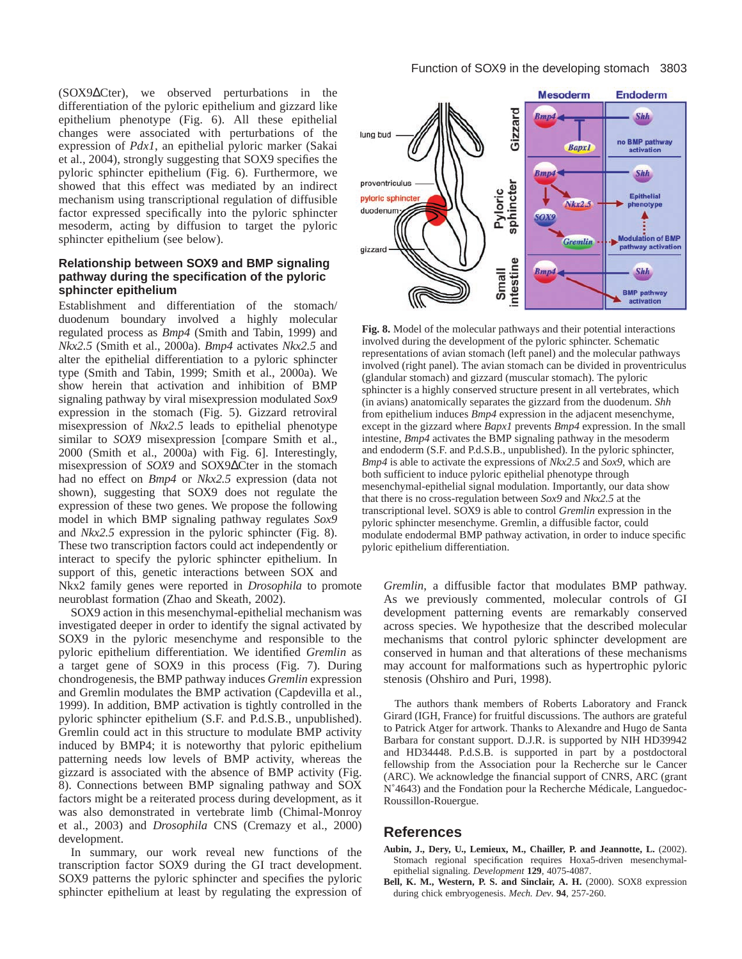(SOX9∆Cter), we observed perturbations in the differentiation of the pyloric epithelium and gizzard like epithelium phenotype (Fig. 6). All these epithelial changes were associated with perturbations of the expression of *Pdx1*, an epithelial pyloric marker (Sakai et al., 2004), strongly suggesting that SOX9 specifies the pyloric sphincter epithelium (Fig. 6). Furthermore, we showed that this effect was mediated by an indirect mechanism using transcriptional regulation of diffusible factor expressed specifically into the pyloric sphincter mesoderm, acting by diffusion to target the pyloric sphincter epithelium (see below).

#### **Relationship between SOX9 and BMP signaling pathway during the specification of the pyloric sphincter epithelium**

Establishment and differentiation of the stomach/ duodenum boundary involved a highly molecular regulated process as *Bmp4* (Smith and Tabin, 1999) and *Nkx2.5* (Smith et al., 2000a). *Bmp4* activates *Nkx2.5* and alter the epithelial differentiation to a pyloric sphincter type (Smith and Tabin, 1999; Smith et al., 2000a). We show herein that activation and inhibition of BMP signaling pathway by viral misexpression modulated *Sox9* expression in the stomach (Fig. 5). Gizzard retroviral misexpression of *Nkx2.5* leads to epithelial phenotype similar to *SOX9* misexpression [compare Smith et al., 2000 (Smith et al., 2000a) with Fig. 6]. Interestingly, misexpression of *SOX9* and SOX9∆Cter in the stomach had no effect on *Bmp4* or *Nkx2.5* expression (data not shown), suggesting that SOX9 does not regulate the expression of these two genes. We propose the following model in which BMP signaling pathway regulates *Sox9* and *Nkx2.5* expression in the pyloric sphincter (Fig. 8). These two transcription factors could act independently or interact to specify the pyloric sphincter epithelium. In support of this, genetic interactions between SOX and Nkx2 family genes were reported in *Drosophila* to promote neuroblast formation (Zhao and Skeath, 2002).

SOX9 action in this mesenchymal-epithelial mechanism was investigated deeper in order to identify the signal activated by SOX9 in the pyloric mesenchyme and responsible to the pyloric epithelium differentiation. We identified *Gremlin* as a target gene of SOX9 in this process (Fig. 7). During chondrogenesis, the BMP pathway induces *Gremlin* expression and Gremlin modulates the BMP activation (Capdevilla et al., 1999). In addition, BMP activation is tightly controlled in the pyloric sphincter epithelium (S.F. and P.d.S.B., unpublished). Gremlin could act in this structure to modulate BMP activity induced by BMP4; it is noteworthy that pyloric epithelium patterning needs low levels of BMP activity, whereas the gizzard is associated with the absence of BMP activity (Fig. 8). Connections between BMP signaling pathway and SOX factors might be a reiterated process during development, as it was also demonstrated in vertebrate limb (Chimal-Monroy et al., 2003) and *Drosophila* CNS (Cremazy et al., 2000) development.

In summary, our work reveal new functions of the transcription factor SOX9 during the GI tract development. SOX9 patterns the pyloric sphincter and specifies the pyloric sphincter epithelium at least by regulating the expression of



**Fig. 8.** Model of the molecular pathways and their potential interactions involved during the development of the pyloric sphincter. Schematic representations of avian stomach (left panel) and the molecular pathways involved (right panel). The avian stomach can be divided in proventriculus (glandular stomach) and gizzard (muscular stomach). The pyloric sphincter is a highly conserved structure present in all vertebrates, which (in avians) anatomically separates the gizzard from the duodenum. *Shh* from epithelium induces *Bmp4* expression in the adjacent mesenchyme, except in the gizzard where *Bapx1* prevents *Bmp4* expression. In the small intestine, *Bmp4* activates the BMP signaling pathway in the mesoderm and endoderm (S.F. and P.d.S.B., unpublished). In the pyloric sphincter, *Bmp4* is able to activate the expressions of *Nkx2.5* and *Sox9*, which are both sufficient to induce pyloric epithelial phenotype through mesenchymal-epithelial signal modulation. Importantly, our data show that there is no cross-regulation between *Sox9* and *Nkx2.5* at the transcriptional level. SOX9 is able to control *Gremlin* expression in the pyloric sphincter mesenchyme. Gremlin, a diffusible factor, could modulate endodermal BMP pathway activation, in order to induce specific pyloric epithelium differentiation.

*Gremlin*, a diffusible factor that modulates BMP pathway. As we previously commented, molecular controls of GI development patterning events are remarkably conserved across species. We hypothesize that the described molecular mechanisms that control pyloric sphincter development are conserved in human and that alterations of these mechanisms may account for malformations such as hypertrophic pyloric stenosis (Ohshiro and Puri, 1998).

The authors thank members of Roberts Laboratory and Franck Girard (IGH, France) for fruitful discussions. The authors are grateful to Patrick Atger for artwork. Thanks to Alexandre and Hugo de Santa Barbara for constant support. D.J.R. is supported by NIH HD39942 and HD34448. P.d.S.B. is supported in part by a postdoctoral fellowship from the Association pour la Recherche sur le Cancer (ARC). We acknowledge the financial support of CNRS, ARC (grant N˚4643) and the Fondation pour la Recherche Médicale, Languedoc-Roussillon-Rouergue.

# **References**

- **Aubin, J., Dery, U., Lemieux, M., Chailler, P. and Jeannotte, L.** (2002). Stomach regional specification requires Hoxa5-driven mesenchymalepithelial signaling. *Development* **129**, 4075-4087.
- Bell, K. M., Western, P. S. and Sinclair, A. H. (2000). SOX8 expression during chick embryogenesis. *Mech. Dev*. **94**, 257-260.